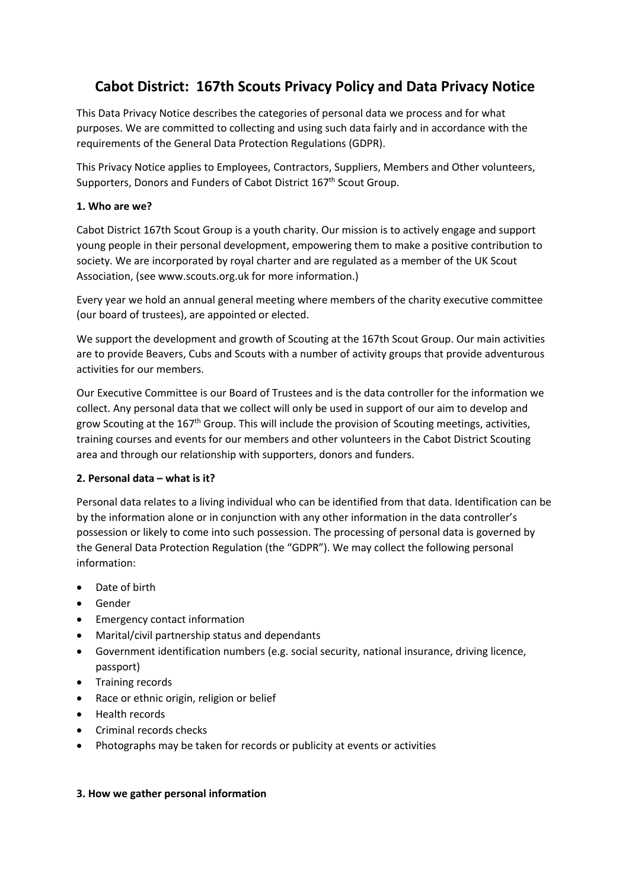# **Cabot District: 167th Scouts Privacy Policy and Data Privacy Notice**

This Data Privacy Notice describes the categories of personal data we process and for what purposes. We are committed to collecting and using such data fairly and in accordance with the requirements of the General Data Protection Regulations (GDPR).

This Privacy Notice applies to Employees, Contractors, Suppliers, Members and Other volunteers, Supporters, Donors and Funders of Cabot District 167<sup>th</sup> Scout Group.

# **1. Who are we?**

Cabot District 167th Scout Group is a youth charity. Our mission is to actively engage and support young people in their personal development, empowering them to make a positive contribution to society. We are incorporated by royal charter and are regulated as a member of the UK Scout Association, (see www.scouts.org.uk for more information.)

Every year we hold an annual general meeting where members of the charity executive committee (our board of trustees), are appointed or elected.

We support the development and growth of Scouting at the 167th Scout Group. Our main activities are to provide Beavers, Cubs and Scouts with a number of activity groups that provide adventurous activities for our members.

Our Executive Committee is our Board of Trustees and is the data controller for the information we collect. Any personal data that we collect will only be used in support of our aim to develop and grow Scouting at the  $167<sup>th</sup>$  Group. This will include the provision of Scouting meetings, activities, training courses and events for our members and other volunteers in the Cabot District Scouting area and through our relationship with supporters, donors and funders.

# **2. Personal data – what is it?**

Personal data relates to a living individual who can be identified from that data. Identification can be by the information alone or in conjunction with any other information in the data controller's possession or likely to come into such possession. The processing of personal data is governed by the General Data Protection Regulation (the "GDPR"). We may collect the following personal information:

- Date of birth
- Gender
- Emergency contact information
- Marital/civil partnership status and dependants
- Government identification numbers (e.g. social security, national insurance, driving licence, passport)
- Training records
- Race or ethnic origin, religion or belief
- Health records
- Criminal records checks
- Photographs may be taken for records or publicity at events or activities

# **3. How we gather personal information**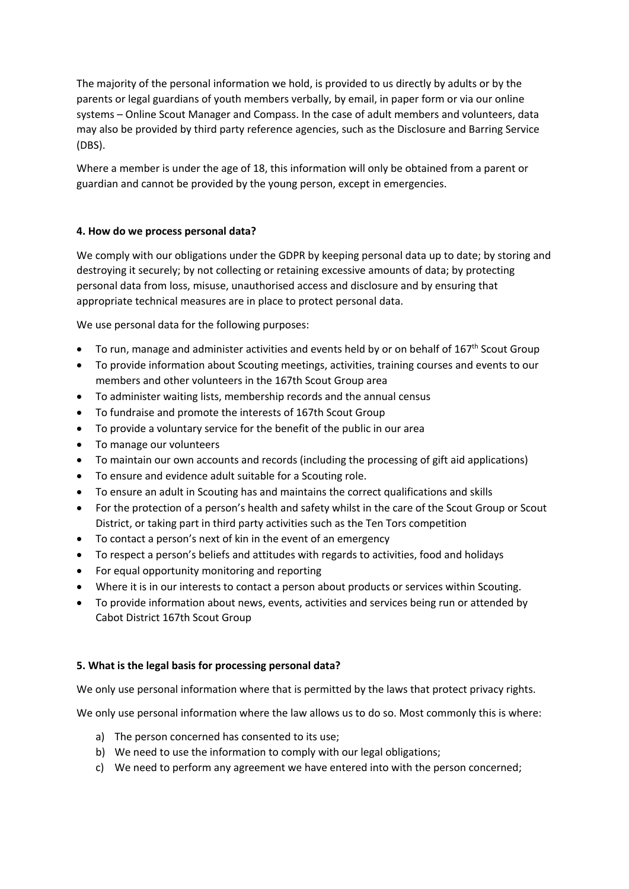The majority of the personal information we hold, is provided to us directly by adults or by the parents or legal guardians of youth members verbally, by email, in paper form or via our online systems – Online Scout Manager and Compass. In the case of adult members and volunteers, data may also be provided by third party reference agencies, such as the Disclosure and Barring Service (DBS).

Where a member is under the age of 18, this information will only be obtained from a parent or guardian and cannot be provided by the young person, except in emergencies.

# **4. How do we process personal data?**

We comply with our obligations under the GDPR by keeping personal data up to date; by storing and destroying it securely; by not collecting or retaining excessive amounts of data; by protecting personal data from loss, misuse, unauthorised access and disclosure and by ensuring that appropriate technical measures are in place to protect personal data.

We use personal data for the following purposes:

- To run, manage and administer activities and events held by or on behalf of  $167<sup>th</sup>$  Scout Group
- To provide information about Scouting meetings, activities, training courses and events to our members and other volunteers in the 167th Scout Group area
- To administer waiting lists, membership records and the annual census
- To fundraise and promote the interests of 167th Scout Group
- To provide a voluntary service for the benefit of the public in our area
- To manage our volunteers
- To maintain our own accounts and records (including the processing of gift aid applications)
- To ensure and evidence adult suitable for a Scouting role.
- To ensure an adult in Scouting has and maintains the correct qualifications and skills
- For the protection of a person's health and safety whilst in the care of the Scout Group or Scout District, or taking part in third party activities such as the Ten Tors competition
- To contact a person's next of kin in the event of an emergency
- To respect a person's beliefs and attitudes with regards to activities, food and holidays
- For equal opportunity monitoring and reporting
- Where it is in our interests to contact a person about products or services within Scouting.
- To provide information about news, events, activities and services being run or attended by Cabot District 167th Scout Group

## **5. What is the legal basis for processing personal data?**

We only use personal information where that is permitted by the laws that protect privacy rights.

We only use personal information where the law allows us to do so. Most commonly this is where:

- a) The person concerned has consented to its use;
- b) We need to use the information to comply with our legal obligations;
- c) We need to perform any agreement we have entered into with the person concerned;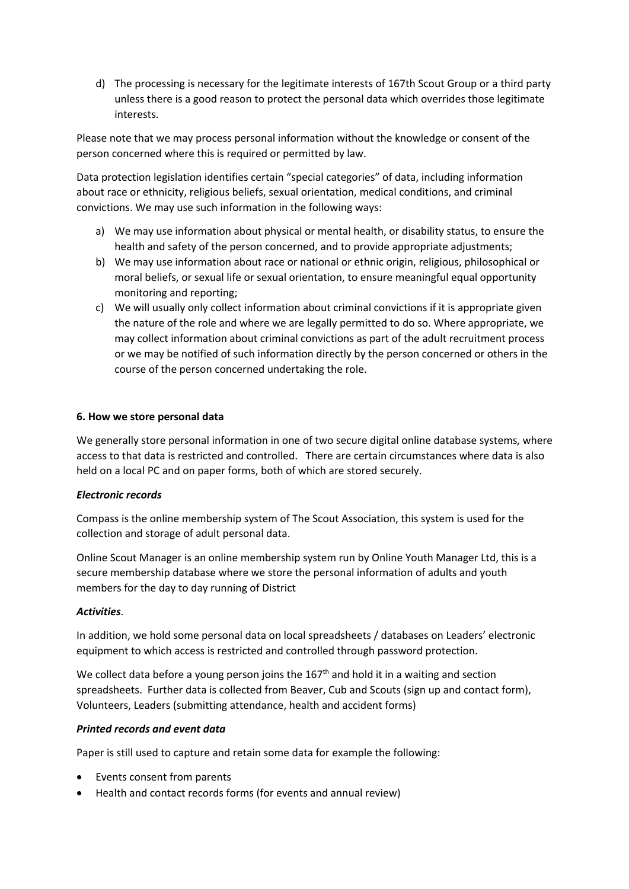d) The processing is necessary for the legitimate interests of 167th Scout Group or a third party unless there is a good reason to protect the personal data which overrides those legitimate interests.

Please note that we may process personal information without the knowledge or consent of the person concerned where this is required or permitted by law.

Data protection legislation identifies certain "special categories" of data, including information about race or ethnicity, religious beliefs, sexual orientation, medical conditions, and criminal convictions. We may use such information in the following ways:

- a) We may use information about physical or mental health, or disability status, to ensure the health and safety of the person concerned, and to provide appropriate adjustments;
- b) We may use information about race or national or ethnic origin, religious, philosophical or moral beliefs, or sexual life or sexual orientation, to ensure meaningful equal opportunity monitoring and reporting;
- c) We will usually only collect information about criminal convictions if it is appropriate given the nature of the role and where we are legally permitted to do so. Where appropriate, we may collect information about criminal convictions as part of the adult recruitment process or we may be notified of such information directly by the person concerned or others in the course of the person concerned undertaking the role.

## **6. How we store personal data**

We generally store personal information in one of two secure digital online database systems, where access to that data is restricted and controlled. There are certain circumstances where data is also held on a local PC and on paper forms, both of which are stored securely.

## *Electronic records*

Compass is the online membership system of The Scout Association, this system is used for the collection and storage of adult personal data.

Online Scout Manager is an online membership system run by Online Youth Manager Ltd, this is a secure membership database where we store the personal information of adults and youth members for the day to day running of District

## *Activities*.

In addition, we hold some personal data on local spreadsheets / databases on Leaders' electronic equipment to which access is restricted and controlled through password protection.

We collect data before a young person joins the  $167<sup>th</sup>$  and hold it in a waiting and section spreadsheets. Further data is collected from Beaver, Cub and Scouts (sign up and contact form), Volunteers, Leaders (submitting attendance, health and accident forms)

## *Printed records and event data*

Paper is still used to capture and retain some data for example the following:

- Events consent from parents
- Health and contact records forms (for events and annual review)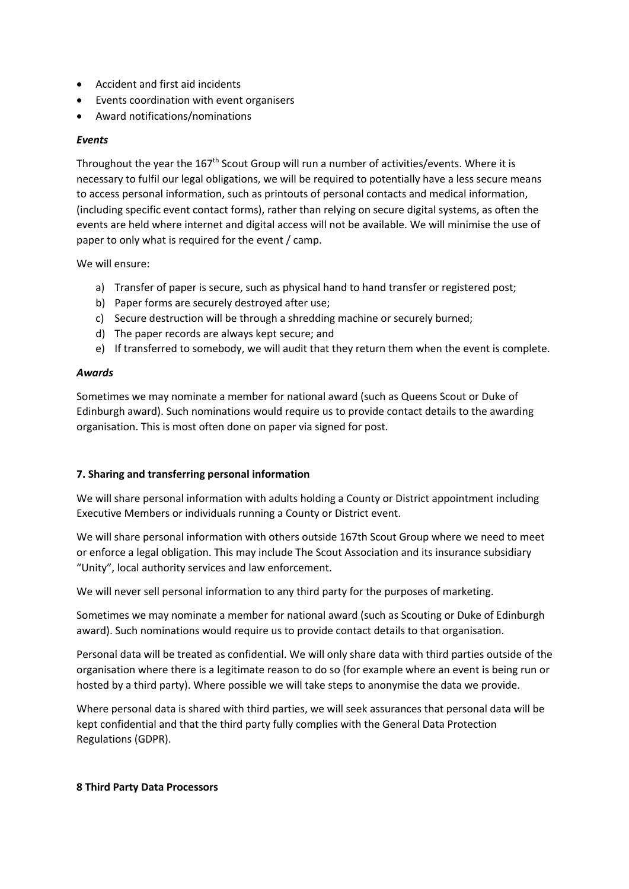- Accident and first aid incidents
- Events coordination with event organisers
- Award notifications/nominations

## *Events*

Throughout the year the 167<sup>th</sup> Scout Group will run a number of activities/events. Where it is necessary to fulfil our legal obligations, we will be required to potentially have a less secure means to access personal information, such as printouts of personal contacts and medical information, (including specific event contact forms), rather than relying on secure digital systems, as often the events are held where internet and digital access will not be available. We will minimise the use of paper to only what is required for the event / camp.

We will ensure:

- a) Transfer of paper is secure, such as physical hand to hand transfer or registered post;
- b) Paper forms are securely destroyed after use;
- c) Secure destruction will be through a shredding machine or securely burned;
- d) The paper records are always kept secure; and
- e) If transferred to somebody, we will audit that they return them when the event is complete.

#### *Awards*

Sometimes we may nominate a member for national award (such as Queens Scout or Duke of Edinburgh award). Such nominations would require us to provide contact details to the awarding organisation. This is most often done on paper via signed for post.

## **7. Sharing and transferring personal information**

We will share personal information with adults holding a County or District appointment including Executive Members or individuals running a County or District event.

We will share personal information with others outside 167th Scout Group where we need to meet or enforce a legal obligation. This may include The Scout Association and its insurance subsidiary "Unity", local authority services and law enforcement.

We will never sell personal information to any third party for the purposes of marketing.

Sometimes we may nominate a member for national award (such as Scouting or Duke of Edinburgh award). Such nominations would require us to provide contact details to that organisation.

Personal data will be treated as confidential. We will only share data with third parties outside of the organisation where there is a legitimate reason to do so (for example where an event is being run or hosted by a third party). Where possible we will take steps to anonymise the data we provide.

Where personal data is shared with third parties, we will seek assurances that personal data will be kept confidential and that the third party fully complies with the General Data Protection Regulations (GDPR).

#### **8 Third Party Data Processors**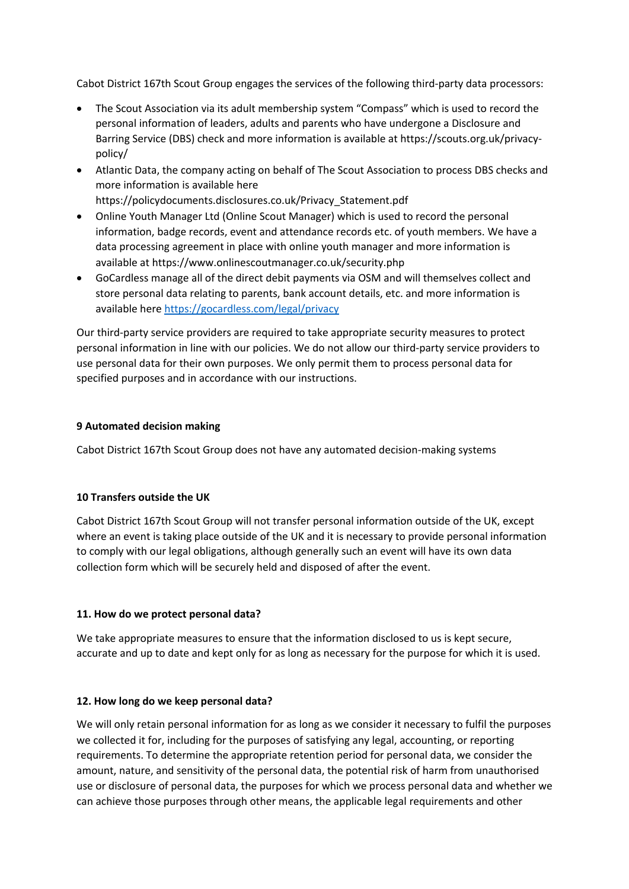Cabot District 167th Scout Group engages the services of the following third-party data processors:

- The Scout Association via its adult membership system "Compass" which is used to record the personal information of leaders, adults and parents who have undergone a Disclosure and Barring Service (DBS) check and more information is available at https://scouts.org.uk/privacypolicy/
- Atlantic Data, the company acting on behalf of The Scout Association to process DBS checks and more information is available here https://policydocuments.disclosures.co.uk/Privacy\_Statement.pdf
- Online Youth Manager Ltd (Online Scout Manager) which is used to record the personal information, badge records, event and attendance records etc. of youth members. We have a data processing agreement in place with online youth manager and more information is available at https://www.onlinescoutmanager.co.uk/security.php
- GoCardless manage all of the direct debit payments via OSM and will themselves collect and store personal data relating to parents, bank account details, etc. and more information is available here https://gocardless.com/legal/privacy

Our third-party service providers are required to take appropriate security measures to protect personal information in line with our policies. We do not allow our third-party service providers to use personal data for their own purposes. We only permit them to process personal data for specified purposes and in accordance with our instructions.

## **9 Automated decision making**

Cabot District 167th Scout Group does not have any automated decision-making systems

# **10 Transfers outside the UK**

Cabot District 167th Scout Group will not transfer personal information outside of the UK, except where an event is taking place outside of the UK and it is necessary to provide personal information to comply with our legal obligations, although generally such an event will have its own data collection form which will be securely held and disposed of after the event.

## **11. How do we protect personal data?**

We take appropriate measures to ensure that the information disclosed to us is kept secure, accurate and up to date and kept only for as long as necessary for the purpose for which it is used.

## **12. How long do we keep personal data?**

We will only retain personal information for as long as we consider it necessary to fulfil the purposes we collected it for, including for the purposes of satisfying any legal, accounting, or reporting requirements. To determine the appropriate retention period for personal data, we consider the amount, nature, and sensitivity of the personal data, the potential risk of harm from unauthorised use or disclosure of personal data, the purposes for which we process personal data and whether we can achieve those purposes through other means, the applicable legal requirements and other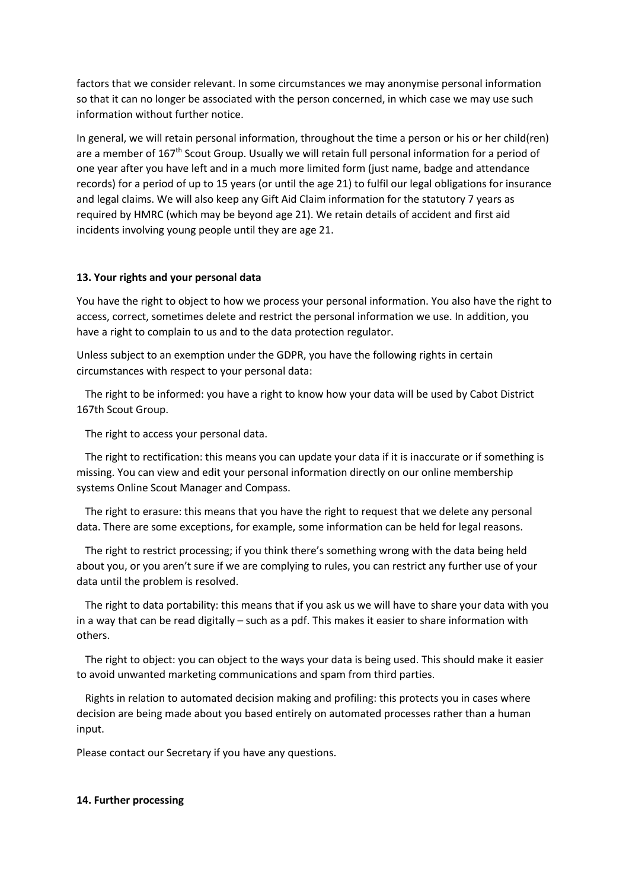factors that we consider relevant. In some circumstances we may anonymise personal information so that it can no longer be associated with the person concerned, in which case we may use such information without further notice.

In general, we will retain personal information, throughout the time a person or his or her child(ren) are a member of 167<sup>th</sup> Scout Group. Usually we will retain full personal information for a period of one year after you have left and in a much more limited form (just name, badge and attendance records) for a period of up to 15 years (or until the age 21) to fulfil our legal obligations for insurance and legal claims. We will also keep any Gift Aid Claim information for the statutory 7 years as required by HMRC (which may be beyond age 21). We retain details of accident and first aid incidents involving young people until they are age 21.

## **13. Your rights and your personal data**

You have the right to object to how we process your personal information. You also have the right to access, correct, sometimes delete and restrict the personal information we use. In addition, you have a right to complain to us and to the data protection regulator.

Unless subject to an exemption under the GDPR, you have the following rights in certain circumstances with respect to your personal data:

 The right to be informed: you have a right to know how your data will be used by Cabot District 167th Scout Group.

The right to access your personal data.

 The right to rectification: this means you can update your data if it is inaccurate or if something is missing. You can view and edit your personal information directly on our online membership systems Online Scout Manager and Compass.

 The right to erasure: this means that you have the right to request that we delete any personal data. There are some exceptions, for example, some information can be held for legal reasons.

 The right to restrict processing; if you think there's something wrong with the data being held about you, or you aren't sure if we are complying to rules, you can restrict any further use of your data until the problem is resolved.

 The right to data portability: this means that if you ask us we will have to share your data with you in a way that can be read digitally – such as a pdf. This makes it easier to share information with others.

 The right to object: you can object to the ways your data is being used. This should make it easier to avoid unwanted marketing communications and spam from third parties.

 Rights in relation to automated decision making and profiling: this protects you in cases where decision are being made about you based entirely on automated processes rather than a human input.

Please contact our Secretary if you have any questions.

#### **14. Further processing**